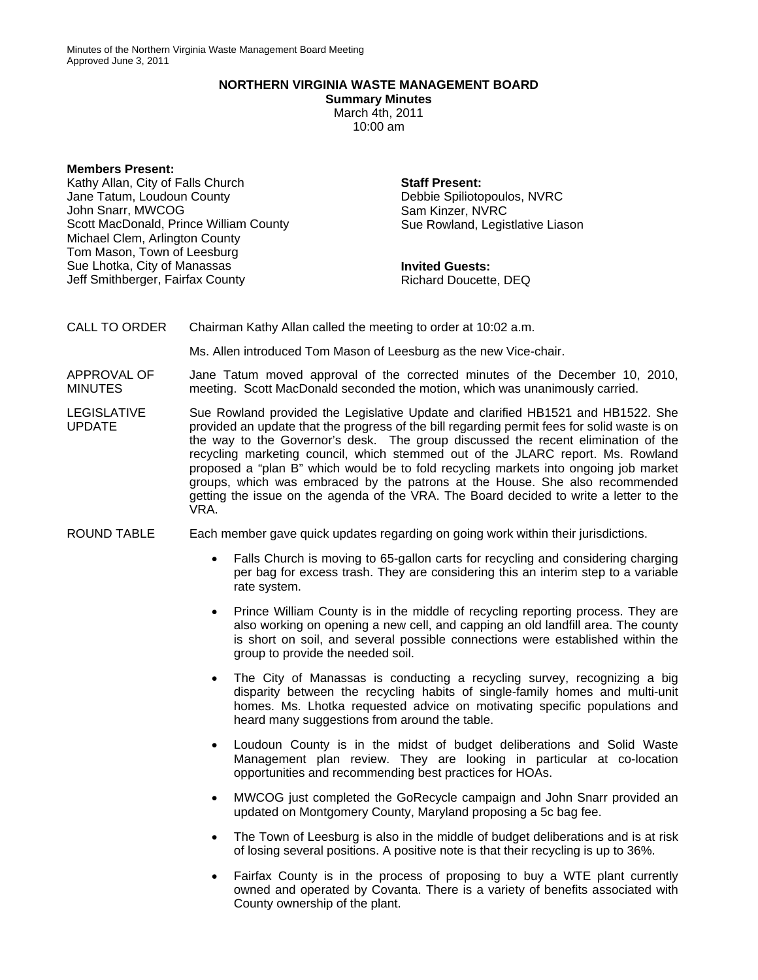## **NORTHERN VIRGINIA WASTE MANAGEMENT BOARD**

**Summary Minutes**  March 4th, 2011 10:00 am

## **Members Present:**

Kathy Allan, City of Falls Church Jane Tatum, Loudoun County John Snarr, MWCOG Scott MacDonald, Prince William County Michael Clem, Arlington County Tom Mason, Town of Leesburg Sue Lhotka, City of Manassas Jeff Smithberger, Fairfax County

**Staff Present:**  Debbie Spiliotopoulos, NVRC Sam Kinzer, NVRC Sue Rowland, Legistlative Liason

**Invited Guests:**  Richard Doucette, DEQ

CALL TO ORDER Chairman Kathy Allan called the meeting to order at 10:02 a.m.

Ms. Allen introduced Tom Mason of Leesburg as the new Vice-chair.

- APPROVAL OF MINUTES Jane Tatum moved approval of the corrected minutes of the December 10, 2010, meeting. Scott MacDonald seconded the motion, which was unanimously carried.
- LEGISLATIVE UPDATE Sue Rowland provided the Legislative Update and clarified HB1521 and HB1522. She provided an update that the progress of the bill regarding permit fees for solid waste is on the way to the Governor's desk. The group discussed the recent elimination of the recycling marketing council, which stemmed out of the JLARC report. Ms. Rowland proposed a "plan B" which would be to fold recycling markets into ongoing job market groups, which was embraced by the patrons at the House. She also recommended getting the issue on the agenda of the VRA. The Board decided to write a letter to the VRA.
- ROUND TABLE Each member gave quick updates regarding on going work within their jurisdictions.
	- Falls Church is moving to 65-gallon carts for recycling and considering charging per bag for excess trash. They are considering this an interim step to a variable rate system.
	- Prince William County is in the middle of recycling reporting process. They are also working on opening a new cell, and capping an old landfill area. The county is short on soil, and several possible connections were established within the group to provide the needed soil.
	- The City of Manassas is conducting a recycling survey, recognizing a big disparity between the recycling habits of single-family homes and multi-unit homes. Ms. Lhotka requested advice on motivating specific populations and heard many suggestions from around the table.
	- Loudoun County is in the midst of budget deliberations and Solid Waste Management plan review. They are looking in particular at co-location opportunities and recommending best practices for HOAs.
	- MWCOG just completed the GoRecycle campaign and John Snarr provided an updated on Montgomery County, Maryland proposing a 5c bag fee.
	- The Town of Leesburg is also in the middle of budget deliberations and is at risk of losing several positions. A positive note is that their recycling is up to 36%.
	- Fairfax County is in the process of proposing to buy a WTE plant currently owned and operated by Covanta. There is a variety of benefits associated with County ownership of the plant.